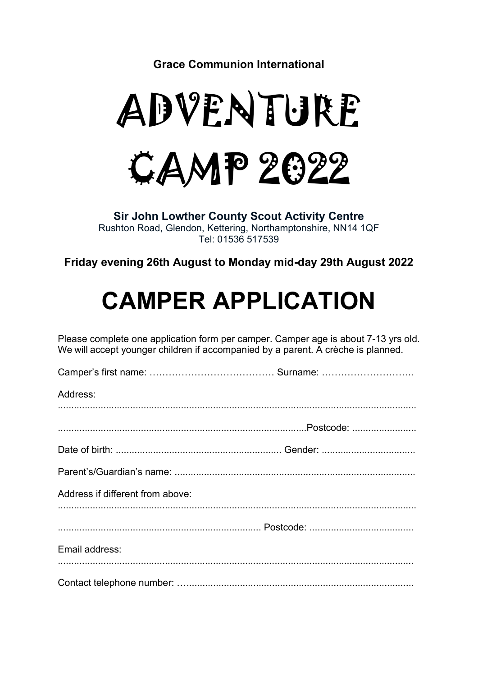Grace Communion International

# ADVENTURE



Sir John Lowther County Scout Activity Centre Rushton Road, Glendon, Kettering, Northamptonshire, NN14 1QF Tel: 01536 517539

Friday evening 26th August to Monday mid-day 29th August 2022

# CAMPER APPLICATION

Please complete one application form per camper. Camper age is about 7-13 yrs old. We will accept younger children if accompanied by a parent. A crèche is planned.

| Address:                         |  |
|----------------------------------|--|
|                                  |  |
|                                  |  |
|                                  |  |
|                                  |  |
| Address if different from above: |  |
|                                  |  |
|                                  |  |
| Email address:                   |  |
|                                  |  |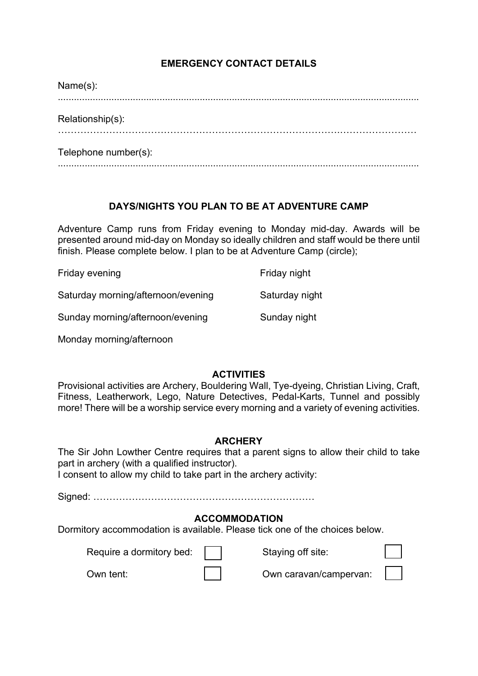# EMERGENCY CONTACT DETAILS

| Name(s):             |
|----------------------|
|                      |
| Relationship(s):     |
|                      |
| Telephone number(s): |

# DAYS/NIGHTS YOU PLAN TO BE AT ADVENTURE CAMP

.......................................................................................................................................

Adventure Camp runs from Friday evening to Monday mid-day. Awards will be presented around mid-day on Monday so ideally children and staff would be there until finish. Please complete below. I plan to be at Adventure Camp (circle);

| Friday evening                     | Friday night   |
|------------------------------------|----------------|
| Saturday morning/afternoon/evening | Saturday night |
| Sunday morning/afternoon/evening   | Sunday night   |

Monday morning/afternoon

# **ACTIVITIES**

Provisional activities are Archery, Bouldering Wall, Tye-dyeing, Christian Living, Craft, Fitness, Leatherwork, Lego, Nature Detectives, Pedal-Karts, Tunnel and possibly more! There will be a worship service every morning and a variety of evening activities.

# **ARCHERY**

The Sir John Lowther Centre requires that a parent signs to allow their child to take part in archery (with a qualified instructor).

I consent to allow my child to take part in the archery activity:

Signed: ……………………………………………………………

# ACCOMMODATION

Dormitory accommodation is available. Please tick one of the choices below.

Require a dormitory bed:  $\Box$  Staying off site:



Own tent: Own caravan/campervan: